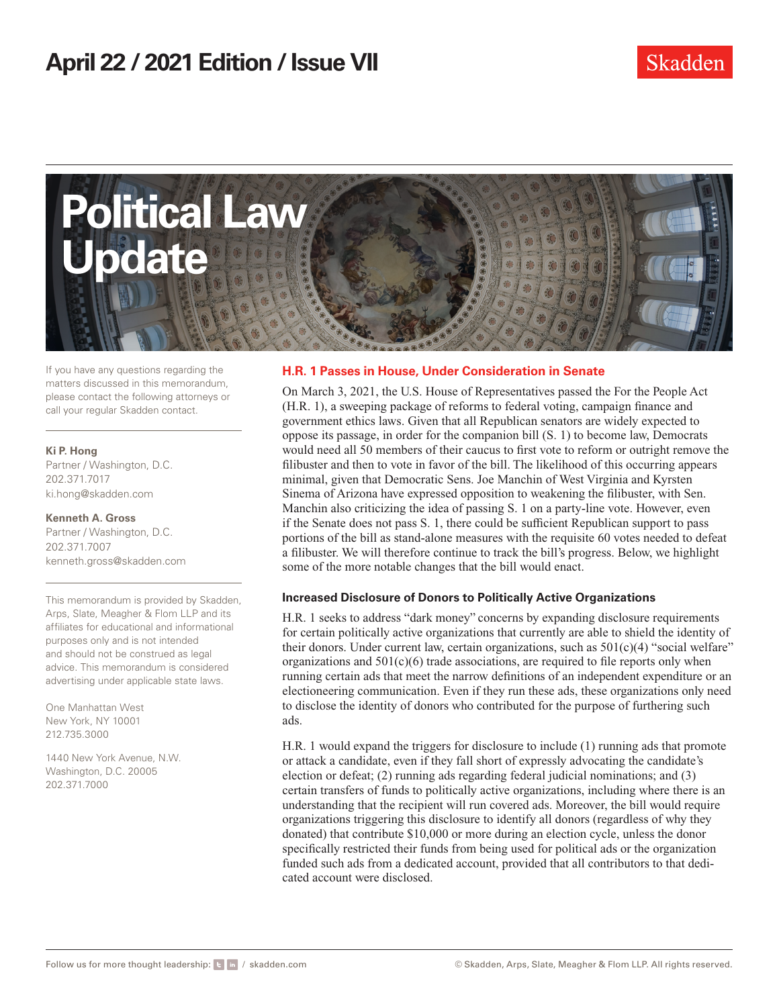

If you have any questions regarding the matters discussed in this memorandum, please contact the following attorneys or call your regular Skadden contact.

#### **Ki P. Hong**

Partner / Washington, D.C. 202.371.7017 ki.hong@skadden.com

**Kenneth A. Gross** Partner / Washington, D.C. 202.371.7007 kenneth.gross@skadden.com

This memorandum is provided by Skadden, Arps, Slate, Meagher & Flom LLP and its affiliates for educational and informational purposes only and is not intended and should not be construed as legal advice. This memorandum is considered advertising under applicable state laws.

One Manhattan West New York, NY 10001 212.735.3000

1440 New York Avenue, N.W. Washington, D.C. 20005 202.371.7000

# **H.R. 1 Passes in House, Under Consideration in Senate**

On March 3, 2021, the U.S. House of Representatives passed the For the People Act (H.R. 1), a sweeping package of reforms to federal voting, campaign finance and government ethics laws. Given that all Republican senators are widely expected to oppose its passage, in order for the companion bill (S. 1) to become law, Democrats would need all 50 members of their caucus to first vote to reform or outright remove the filibuster and then to vote in favor of the bill. The likelihood of this occurring appears minimal, given that Democratic Sens. Joe Manchin of West Virginia and Kyrsten Sinema of Arizona have expressed opposition to weakening the filibuster, with Sen. Manchin also criticizing the idea of passing S. 1 on a party-line vote. However, even if the Senate does not pass S. 1, there could be sufficient Republican support to pass portions of the bill as stand-alone measures with the requisite 60 votes needed to defeat a filibuster. We will therefore continue to track the bill's progress. Below, we highlight some of the more notable changes that the bill would enact.

#### **Increased Disclosure of Donors to Politically Active Organizations**

H.R. 1 seeks to address "dark money" concerns by expanding disclosure requirements for certain politically active organizations that currently are able to shield the identity of their donors. Under current law, certain organizations, such as  $501(c)(4)$  "social welfare" organizations and  $501(c)(6)$  trade associations, are required to file reports only when running certain ads that meet the narrow definitions of an independent expenditure or an electioneering communication. Even if they run these ads, these organizations only need to disclose the identity of donors who contributed for the purpose of furthering such ads.

H.R. 1 would expand the triggers for disclosure to include (1) running ads that promote or attack a candidate, even if they fall short of expressly advocating the candidate's election or defeat; (2) running ads regarding federal judicial nominations; and (3) certain transfers of funds to politically active organizations, including where there is an understanding that the recipient will run covered ads. Moreover, the bill would require organizations triggering this disclosure to identify all donors (regardless of why they donated) that contribute \$10,000 or more during an election cycle, unless the donor specifically restricted their funds from being used for political ads or the organization funded such ads from a dedicated account, provided that all contributors to that dedicated account were disclosed.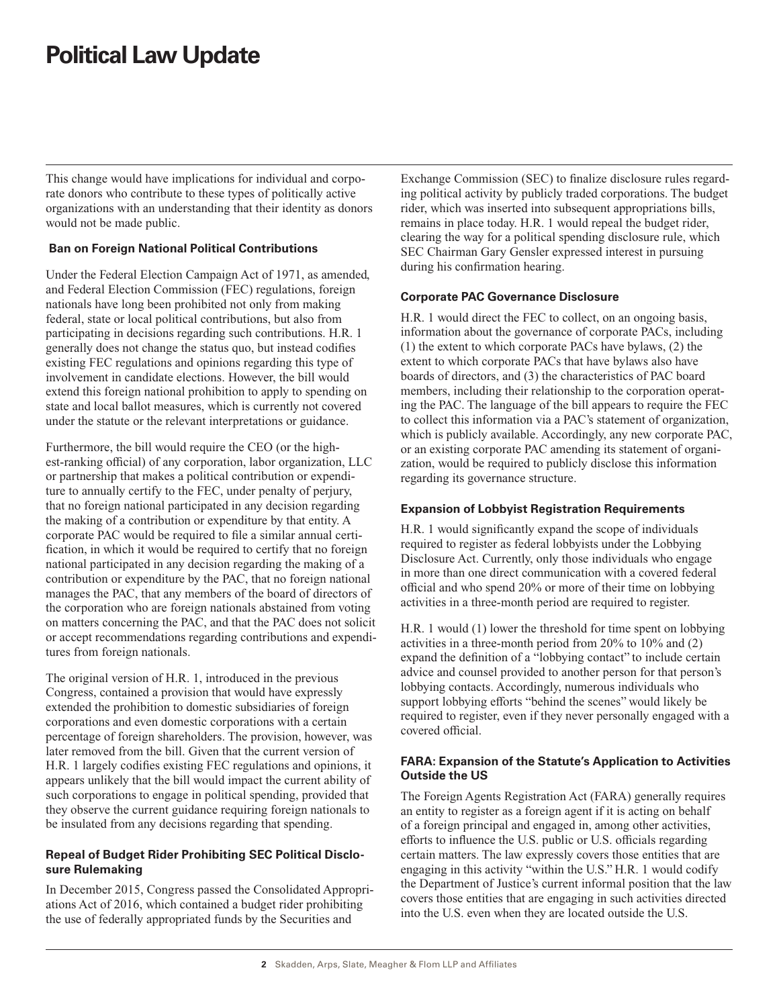# **Political Law Update**

This change would have implications for individual and corporate donors who contribute to these types of politically active organizations with an understanding that their identity as donors would not be made public.

### **Ban on Foreign National Political Contributions**

Under the Federal Election Campaign Act of 1971, as amended, and Federal Election Commission (FEC) regulations, foreign nationals have long been prohibited not only from making federal, state or local political contributions, but also from participating in decisions regarding such contributions. H.R. 1 generally does not change the status quo, but instead codifies existing FEC regulations and opinions regarding this type of involvement in candidate elections. However, the bill would extend this foreign national prohibition to apply to spending on state and local ballot measures, which is currently not covered under the statute or the relevant interpretations or guidance.

Furthermore, the bill would require the CEO (or the highest-ranking official) of any corporation, labor organization, LLC or partnership that makes a political contribution or expenditure to annually certify to the FEC, under penalty of perjury, that no foreign national participated in any decision regarding the making of a contribution or expenditure by that entity. A corporate PAC would be required to file a similar annual certification, in which it would be required to certify that no foreign national participated in any decision regarding the making of a contribution or expenditure by the PAC, that no foreign national manages the PAC, that any members of the board of directors of the corporation who are foreign nationals abstained from voting on matters concerning the PAC, and that the PAC does not solicit or accept recommendations regarding contributions and expenditures from foreign nationals.

The original version of H.R. 1, introduced in the previous Congress, contained a provision that would have expressly extended the prohibition to domestic subsidiaries of foreign corporations and even domestic corporations with a certain percentage of foreign shareholders. The provision, however, was later removed from the bill. Given that the current version of H.R. 1 largely codifies existing FEC regulations and opinions, it appears unlikely that the bill would impact the current ability of such corporations to engage in political spending, provided that they observe the current guidance requiring foreign nationals to be insulated from any decisions regarding that spending.

#### **Repeal of Budget Rider Prohibiting SEC Political Disclosure Rulemaking**

In December 2015, Congress passed the Consolidated Appropriations Act of 2016, which contained a budget rider prohibiting the use of federally appropriated funds by the Securities and

Exchange Commission (SEC) to finalize disclosure rules regarding political activity by publicly traded corporations. The budget rider, which was inserted into subsequent appropriations bills, remains in place today. H.R. 1 would repeal the budget rider, clearing the way for a political spending disclosure rule, which SEC Chairman Gary Gensler expressed interest in pursuing during his confirmation hearing.

#### **Corporate PAC Governance Disclosure**

H.R. 1 would direct the FEC to collect, on an ongoing basis, information about the governance of corporate PACs, including (1) the extent to which corporate PACs have bylaws, (2) the extent to which corporate PACs that have bylaws also have boards of directors, and (3) the characteristics of PAC board members, including their relationship to the corporation operating the PAC. The language of the bill appears to require the FEC to collect this information via a PAC's statement of organization, which is publicly available. Accordingly, any new corporate PAC, or an existing corporate PAC amending its statement of organization, would be required to publicly disclose this information regarding its governance structure.

#### **Expansion of Lobbyist Registration Requirements**

H.R. 1 would significantly expand the scope of individuals required to register as federal lobbyists under the Lobbying Disclosure Act. Currently, only those individuals who engage in more than one direct communication with a covered federal official and who spend 20% or more of their time on lobbying activities in a three-month period are required to register.

H.R. 1 would (1) lower the threshold for time spent on lobbying activities in a three-month period from 20% to 10% and (2) expand the definition of a "lobbying contact" to include certain advice and counsel provided to another person for that person's lobbying contacts. Accordingly, numerous individuals who support lobbying efforts "behind the scenes" would likely be required to register, even if they never personally engaged with a covered official.

# **FARA: Expansion of the Statute's Application to Activities Outside the US**

The Foreign Agents Registration Act (FARA) generally requires an entity to register as a foreign agent if it is acting on behalf of a foreign principal and engaged in, among other activities, efforts to influence the U.S. public or U.S. officials regarding certain matters. The law expressly covers those entities that are engaging in this activity "within the U.S." H.R. 1 would codify the Department of Justice's current informal position that the law covers those entities that are engaging in such activities directed into the U.S. even when they are located outside the U.S.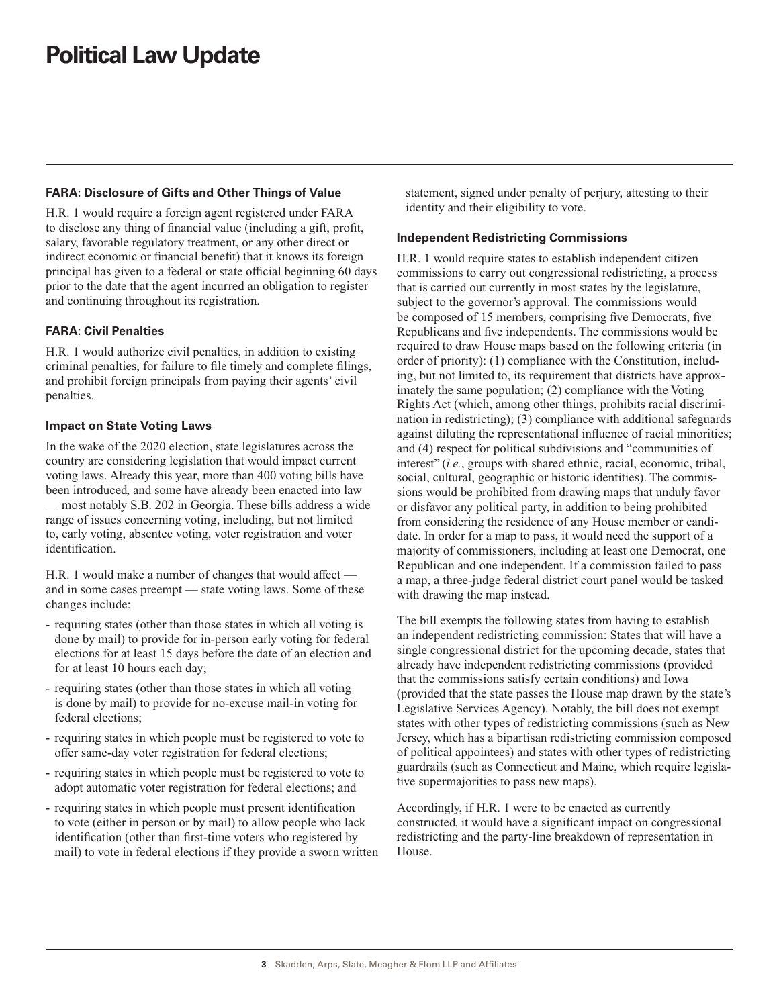# **FARA: Disclosure of Gifts and Other Things of Value**

H.R. 1 would require a foreign agent registered under FARA to disclose any thing of financial value (including a gift, profit, salary, favorable regulatory treatment, or any other direct or indirect economic or financial benefit) that it knows its foreign principal has given to a federal or state official beginning 60 days prior to the date that the agent incurred an obligation to register and continuing throughout its registration.

# **FARA: Civil Penalties**

H.R. 1 would authorize civil penalties, in addition to existing criminal penalties, for failure to file timely and complete filings, and prohibit foreign principals from paying their agents' civil penalties.

#### **Impact on State Voting Laws**

In the wake of the 2020 election, state legislatures across the country are considering legislation that would impact current voting laws. Already this year, more than 400 voting bills have been introduced, and some have already been enacted into law — most notably S.B. 202 in Georgia. These bills address a wide range of issues concerning voting, including, but not limited to, early voting, absentee voting, voter registration and voter identification.

H.R. 1 would make a number of changes that would affect and in some cases preempt — state voting laws. Some of these changes include:

- requiring states (other than those states in which all voting is done by mail) to provide for in-person early voting for federal elections for at least 15 days before the date of an election and for at least 10 hours each day;
- requiring states (other than those states in which all voting is done by mail) to provide for no-excuse mail-in voting for federal elections;
- requiring states in which people must be registered to vote to offer same-day voter registration for federal elections;
- requiring states in which people must be registered to vote to adopt automatic voter registration for federal elections; and
- requiring states in which people must present identification to vote (either in person or by mail) to allow people who lack identification (other than first-time voters who registered by mail) to vote in federal elections if they provide a sworn written

statement, signed under penalty of perjury, attesting to their identity and their eligibility to vote.

### **Independent Redistricting Commissions**

H.R. 1 would require states to establish independent citizen commissions to carry out congressional redistricting, a process that is carried out currently in most states by the legislature, subject to the governor's approval. The commissions would be composed of 15 members, comprising five Democrats, five Republicans and five independents. The commissions would be required to draw House maps based on the following criteria (in order of priority): (1) compliance with the Constitution, including, but not limited to, its requirement that districts have approximately the same population; (2) compliance with the Voting Rights Act (which, among other things, prohibits racial discrimination in redistricting); (3) compliance with additional safeguards against diluting the representational influence of racial minorities; and (4) respect for political subdivisions and "communities of interest" (*i.e.*, groups with shared ethnic, racial, economic, tribal, social, cultural, geographic or historic identities). The commissions would be prohibited from drawing maps that unduly favor or disfavor any political party, in addition to being prohibited from considering the residence of any House member or candidate. In order for a map to pass, it would need the support of a majority of commissioners, including at least one Democrat, one Republican and one independent. If a commission failed to pass a map, a three-judge federal district court panel would be tasked with drawing the map instead.

The bill exempts the following states from having to establish an independent redistricting commission: States that will have a single congressional district for the upcoming decade, states that already have independent redistricting commissions (provided that the commissions satisfy certain conditions) and Iowa (provided that the state passes the House map drawn by the state's Legislative Services Agency). Notably, the bill does not exempt states with other types of redistricting commissions (such as New Jersey, which has a bipartisan redistricting commission composed of political appointees) and states with other types of redistricting guardrails (such as Connecticut and Maine, which require legislative supermajorities to pass new maps).

Accordingly, if H.R. 1 were to be enacted as currently constructed, it would have a significant impact on congressional redistricting and the party-line breakdown of representation in House.